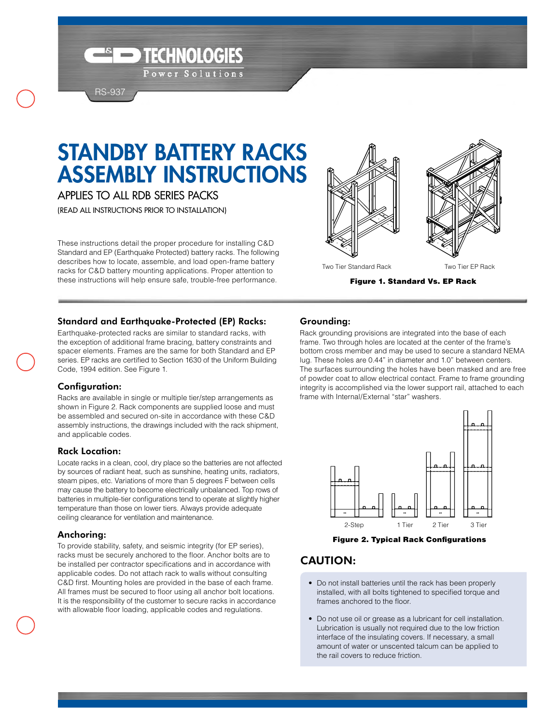# STANDBY BATTERY RACKS ASSEMBLY INSTRUCTIONS

TECHNOLOGIES

Power Solutions

Applies to all rdb series packs

RS-937

(Read All Instructions Prior To Installation)

These instructions detail the proper procedure for installing C&D Standard and EP (Earthquake Protected) battery racks. The following describes how to locate, assemble, and load open-frame battery racks for C&D battery mounting applications. Proper attention to these instructions will help ensure safe, trouble-free performance.



Figure 1. Standard Vs. EP Rack

## Standard and Earthquake-Protected (EP) Racks:

Earthquake-protected racks are similar to standard racks, with the exception of additional frame bracing, battery constraints and spacer elements. Frames are the same for both Standard and EP series. EP racks are certified to Section 1630 of the Uniform Building Code, 1994 edition. See Figure 1.

## Configuration:

Racks are available in single or multiple tier/step arrangements as shown in Figure 2. Rack components are supplied loose and must be assembled and secured on-site in accordance with these C&D assembly instructions, the drawings included with the rack shipment, and applicable codes.

#### Rack Location:

Locate racks in a clean, cool, dry place so the batteries are not affected by sources of radiant heat, such as sunshine, heating units, radiators, steam pipes, etc. Variations of more than 5 degrees F between cells may cause the battery to become electrically unbalanced. Top rows of batteries in multiple-tier configurations tend to operate at slightly higher temperature than those on lower tiers. Always provide adequate ceiling clearance for ventilation and maintenance.

## Anchoring:

To provide stability, safety, and seismic integrity (for EP series), racks must be securely anchored to the floor. Anchor bolts are to be installed per contractor specifications and in accordance with applicable codes. Do not attach rack to walls without consulting C&D first. Mounting holes are provided in the base of each frame. All frames must be secured to floor using all anchor bolt locations. It is the responsibility of the customer to secure racks in accordance with allowable floor loading, applicable codes and regulations.

## Grounding:

Rack grounding provisions are integrated into the base of each frame. Two through holes are located at the center of the frame's bottom cross member and may be used to secure a standard NEMA lug. These holes are 0.44" in diameter and 1.0" between centers. The surfaces surrounding the holes have been masked and are free of powder coat to allow electrical contact. Frame to frame grounding integrity is accomplished via the lower support rail, attached to each frame with Internal/External "star" washers.



Figure 2. Typical Rack Configurations

# **CAUTION:**

- Do not install batteries until the rack has been properly installed, with all bolts tightened to specified torque and frames anchored to the floor.
- • Do not use oil or grease as a lubricant for cell installation. Lubrication is usually not required due to the low friction interface of the insulating covers. If necessary, a small amount of water or unscented talcum can be applied to the rail covers to reduce friction.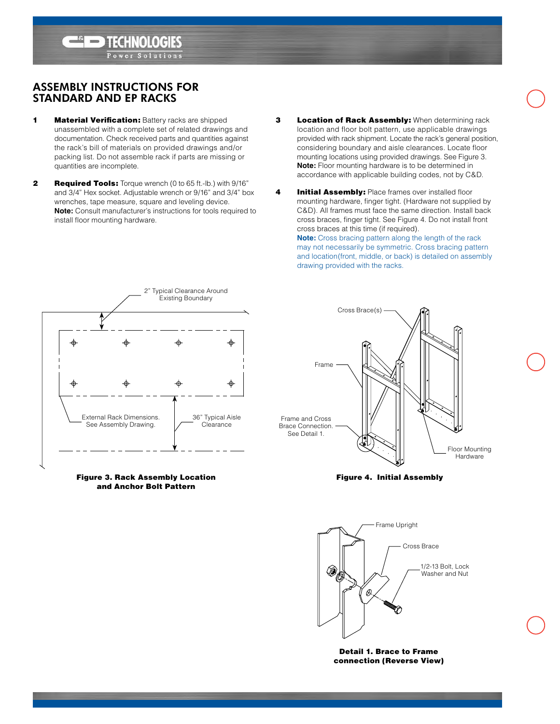Assembly Instructions for Standard and EP Racks

**1** Material Verification: Battery racks are shipped unassembled with a complete set of related drawings and documentation. Check received parts and quantities against the rack's bill of materials on provided drawings and/or packing list. Do not assemble rack if parts are missing or quantities are incomplete.

HNOLOGIES er Solution

- **2** Required Tools: Torque wrench (0 to 65 ft.-lb.) with 9/16" and 3/4" Hex socket. Adjustable wrench or 9/16" and 3/4" box wrenches, tape measure, square and leveling device. **Note:** Consult manufacturer's instructions for tools required to install floor mounting hardware.
- **3** Location of Rack Assembly: When determining rack location and floor bolt pattern, use applicable drawings provided with rack shipment. Locate the rack's general position, considering boundary and aisle clearances. Locate floor mounting locations using provided drawings. See Figure 3. **Note:** Floor mounting hardware is to be determined in accordance with applicable building codes, not by C&D.
- 4 **Initial Assembly:** Place frames over installed floor mounting hardware, finger tight. (Hardware not supplied by C&D). All frames must face the same direction. Install back cross braces, finger tight. See Figure 4. Do not install front cross braces at this time (if required). **Note:** Cross bracing pattern along the length of the rack

may not necessarily be symmetric. Cross bracing pattern and location(front, middle, or back) is detailed on assembly drawing provided with the racks.



Figure 3. Rack Assembly Location and Anchor Bolt Pattern



Figure 4. Initial Assembly



Detail 1. Brace to Frame connection (Reverse View)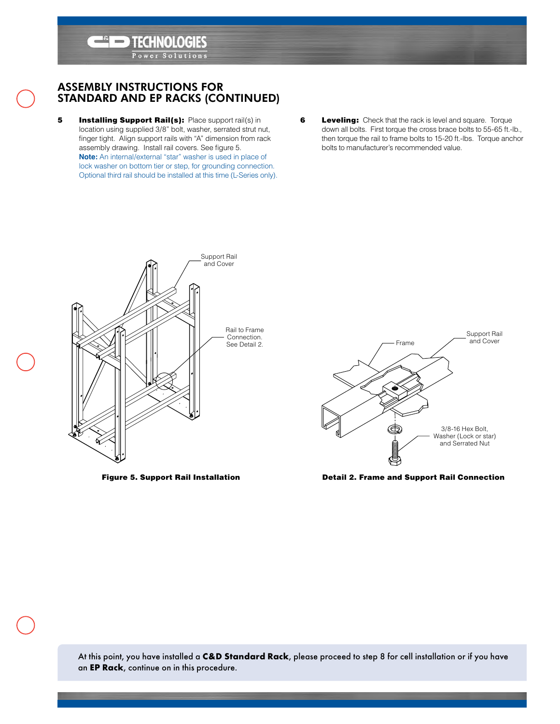

**TECHNOLOGIES** Power Solutions

- **5** Installing Support Rail(s): Place support rail(s) in location using supplied 3/8" bolt, washer, serrated strut nut, finger tight. Align support rails with "A" dimension from rack assembly drawing. Install rail covers. See figure 5. **Note:** An internal/external "star" washer is used in place of lock washer on bottom tier or step, for grounding connection. Optional third rail should be installed at this time (L-Series only).
- **6** Leveling: Check that the rack is level and square. Torque down all bolts. First torque the cross brace bolts to 55-65 ft.-lb., then torque the rail to frame bolts to 15-20 ft.-lbs. Torque anchor bolts to manufacturer's recommended value.



Figure 5. Support Rail Installation



Detail 2. Frame and Support Rail Connection

At this point, you have installed a **C&D Standard Rack**, please proceed to step 8 for cell installation or if you have an **EP Rack**, continue on in this procedure.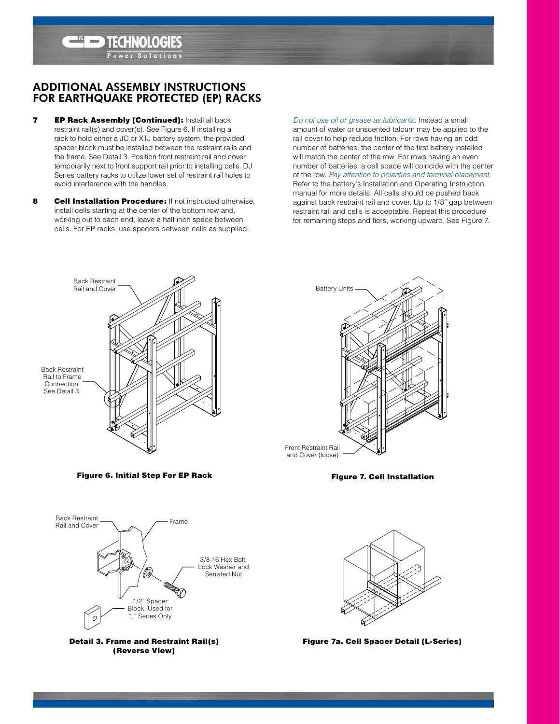

 $\left| \left| \left| \left( \bullet \right) \right| \right| \right|$ Solution

- **7 EP Rack Assembly (Continued): Install all back** restraint rail(s) and cover(s). See Figure 6. If installing a rack to hold either a JC or XTJ battery system, the provided spacer block must be installed between the restraint rails and the frame. See Detail 3. Position front restraint rail and cover temporarily next to front support rail prior to installing cells. DJ Series battery racks to utilize lower set of restraint rail holes to avoid interference with the handles.
- 8 **Cell Installation Procedure:** If not instructed otherwise. install cells starting at the center of the bottom row and, working out to each end, leave a half inch space between cells. For EP racks, use spacers between cells as supplied.

*Do not use oil or grease as lubricants*. Instead a small amount of water or unscented talcum may be applied to the rail cover to help reduce friction. For rows having an odd number of batteries, the center of the first battery installed will match the center of the row. For rows having an even number of batteries, a cell space will coincide with the center of the row. *Pay attention to polarities and terminal placement*. Refer to the battery's Installation and Operating Instruction manual for more details. All cells should be pushed back against back restraint rail and cover. Up to 1/8" gap between restraint rail and cells is acceptable. Repeat this procedure for remaining steps and tiers, working upward. See Figure 7.





Figure 7. Cell Installation



Figure 6. Initial Step For EP Rack





Figure 7a. Cell Spacer Detail (L-Series)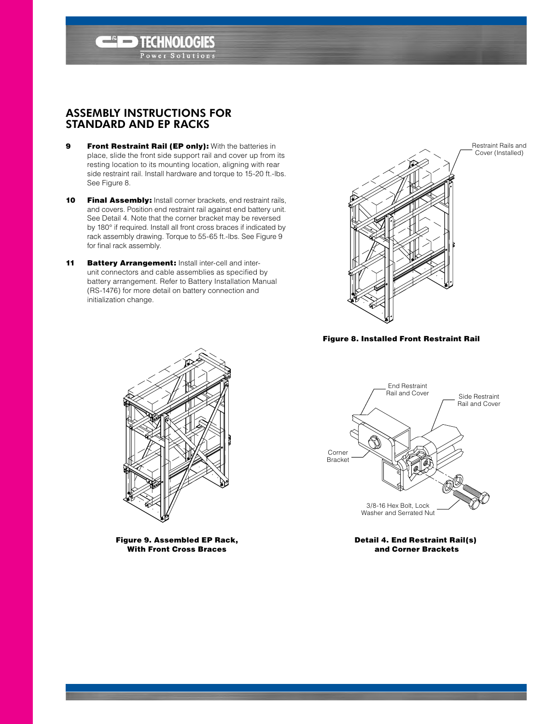## Assembly Instructions for Standard and EP Racks

9 Front Restraint Rail (EP only): With the batteries in place, slide the front side support rail and cover up from its resting location to its mounting location, aligning with rear side restraint rail. Install hardware and torque to 15-20 ft.-lbs. See Figure 8.

**TECHNOLOGIES** er Solutions

- 10 Final Assembly: Install corner brackets, end restraint rails, and covers. Position end restraint rail against end battery unit. See Detail 4. Note that the corner bracket may be reversed by 180° if required. Install all front cross braces if indicated by rack assembly drawing. Torque to 55-65 ft.-lbs. See Figure 9 for final rack assembly.
- 11 **Battery Arrangement: Install inter-cell and inter**unit connectors and cable assemblies as specified by battery arrangement. Refer to Battery Installation Manual (RS-1476) for more detail on battery connection and initialization change.



Figure 8. Installed Front Restraint Rail



Figure 9. Assembled EP Rack, With Front Cross Braces



Detail 4. End Restraint Rail(s) and Corner Brackets